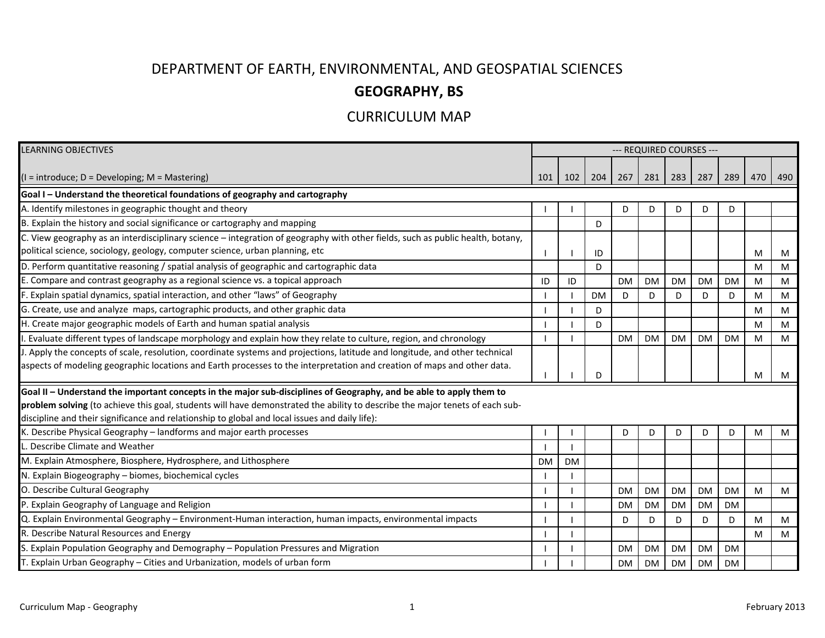## DEPARTMENT OF EARTH, ENVIRONMENTAL, AND GEOSPATIAL SCIENCES

## **GEOGRAPHY, BS**

## CURRICULUM MAP

| <b>LEARNING OBJECTIVES</b>                                                                                                     | --- REQUIRED COURSES --- |           |           |           |           |           |           |           |     |     |
|--------------------------------------------------------------------------------------------------------------------------------|--------------------------|-----------|-----------|-----------|-----------|-----------|-----------|-----------|-----|-----|
|                                                                                                                                |                          |           |           |           |           |           |           |           |     |     |
| $(I = introduce; D = Development; M = Mastering)$                                                                              | 101                      | 102       | 204       | 267       | 281       | 283       | 287       | 289       | 470 | 490 |
| Goal I - Understand the theoretical foundations of geography and cartography                                                   |                          |           |           |           |           |           |           |           |     |     |
| A. Identify milestones in geographic thought and theory                                                                        |                          |           |           | D         | D         | D         | D         | D         |     |     |
| B. Explain the history and social significance or cartography and mapping                                                      |                          |           | D         |           |           |           |           |           |     |     |
| C. View geography as an interdisciplinary science - integration of geography with other fields, such as public health, botany, |                          |           |           |           |           |           |           |           |     |     |
| political science, sociology, geology, computer science, urban planning, etc                                                   |                          |           | ID        |           |           |           |           |           | м   | M   |
| D. Perform quantitative reasoning / spatial analysis of geographic and cartographic data                                       |                          |           | D         |           |           |           |           |           | м   | M   |
| E. Compare and contrast geography as a regional science vs. a topical approach                                                 | ID                       | ID        |           | <b>DM</b> | <b>DM</b> | <b>DM</b> | <b>DM</b> | <b>DM</b> | м   | M   |
| F. Explain spatial dynamics, spatial interaction, and other "laws" of Geography                                                |                          |           | <b>DM</b> | D         | D         | D         | D         | D         | М   | M   |
| G. Create, use and analyze maps, cartographic products, and other graphic data                                                 |                          |           | D         |           |           |           |           |           | M   | M   |
| H. Create major geographic models of Earth and human spatial analysis                                                          |                          |           | D         |           |           |           |           |           | M   | M   |
| . Evaluate different types of landscape morphology and explain how they relate to culture, region, and chronology              |                          |           |           | <b>DM</b> | <b>DM</b> | <b>DM</b> | <b>DM</b> | <b>DM</b> | м   | M   |
| J. Apply the concepts of scale, resolution, coordinate systems and projections, latitude and longitude, and other technical    |                          |           |           |           |           |           |           |           |     |     |
| aspects of modeling geographic locations and Earth processes to the interpretation and creation of maps and other data.        |                          |           | D         |           |           |           |           |           | м   | M   |
| Goal II - Understand the important concepts in the major sub-disciplines of Geography, and be able to apply them to            |                          |           |           |           |           |           |           |           |     |     |
| problem solving (to achieve this goal, students will have demonstrated the ability to describe the major tenets of each sub-   |                          |           |           |           |           |           |           |           |     |     |
| discipline and their significance and relationship to global and local issues and daily life):                                 |                          |           |           |           |           |           |           |           |     |     |
| K. Describe Physical Geography - landforms and major earth processes                                                           |                          |           |           | D         | D         | D         | D         | D         | м   | M   |
| L. Describe Climate and Weather                                                                                                |                          |           |           |           |           |           |           |           |     |     |
| M. Explain Atmosphere, Biosphere, Hydrosphere, and Lithosphere                                                                 | <b>DM</b>                | <b>DM</b> |           |           |           |           |           |           |     |     |
| N. Explain Biogeography - biomes, biochemical cycles                                                                           |                          |           |           |           |           |           |           |           |     |     |
| O. Describe Cultural Geography                                                                                                 |                          |           |           | <b>DM</b> | <b>DM</b> | <b>DM</b> | <b>DM</b> | <b>DM</b> | м   | M   |
| P. Explain Geography of Language and Religion                                                                                  |                          |           |           | <b>DM</b> | <b>DM</b> | <b>DM</b> | <b>DM</b> | <b>DM</b> |     |     |
| Q. Explain Environmental Geography - Environment-Human interaction, human impacts, environmental impacts                       |                          |           |           | D         | D         | D         | D         | D         | м   | M   |
| R. Describe Natural Resources and Energy                                                                                       |                          |           |           |           |           |           |           |           | M   | M   |
| S. Explain Population Geography and Demography - Population Pressures and Migration                                            |                          |           |           | <b>DM</b> | <b>DM</b> | <b>DM</b> | <b>DM</b> | <b>DM</b> |     |     |
| T. Explain Urban Geography - Cities and Urbanization, models of urban form                                                     |                          |           |           | DM        | <b>DM</b> | <b>DM</b> | <b>DM</b> | <b>DM</b> |     |     |